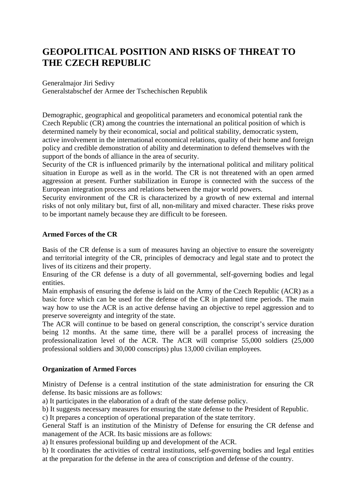## **GEOPOLITICAL POSITION AND RISKS OF THREAT TO THE CZECH REPUBLIC**

Generalmajor Jiri Sedivy Generalstabschef der Armee der Tschechischen Republik

Demographic, geographical and geopolitical parameters and economical potential rank the Czech Republic (CR) among the countries the international an political position of which is determined namely by their economical, social and political stability, democratic system, active involvement in the international economical relations, quality of their home and foreign policy and credible demonstration of ability and determination to defend themselves with the support of the bonds of alliance in the area of security.

Security of the CR is influenced primarily by the international political and military political situation in Europe as well as in the world. The CR is not threatened with an open armed aggression at present. Further stabilization in Europe is connected with the success of the European integration process and relations between the major world powers.

Security environment of the CR is characterized by a growth of new external and internal risks of not only military but, first of all, non-military and mixed character. These risks prove to be important namely because they are difficult to be foreseen.

## **Armed Forces of the CR**

Basis of the CR defense is a sum of measures having an objective to ensure the sovereignty and territorial integrity of the CR, principles of democracy and legal state and to protect the lives of its citizens and their property.

Ensuring of the CR defense is a duty of all governmental, self-governing bodies and legal entities.

Main emphasis of ensuring the defense is laid on the Army of the Czech Republic (ACR) as a basic force which can be used for the defense of the CR in planned time periods. The main way how to use the ACR is an active defense having an objective to repel aggression and to preserve sovereignty and integrity of the state.

The ACR will continue to be based on general conscription, the conscript's service duration being 12 months. At the same time, there will be a parallel process of increasing the professionalization level of the ACR. The ACR will comprise 55,000 soldiers (25,000 professional soldiers and 30,000 conscripts) plus 13,000 civilian employees.

## **Organization of Armed Forces**

Ministry of Defense is a central institution of the state administration for ensuring the CR defense. Its basic missions are as follows:

a) It participates in the elaboration of a draft of the state defense policy.

b) It suggests necessary measures for ensuring the state defense to the President of Republic.

c) It prepares a conception of operational preparation of the state territory.

General Staff is an institution of the Ministry of Defense for ensuring the CR defense and management of the ACR. Its basic missions are as follows:

a) It ensures professional building up and development of the ACR.

b) It coordinates the activities of central institutions, self-governing bodies and legal entities at the preparation for the defense in the area of conscription and defense of the country.